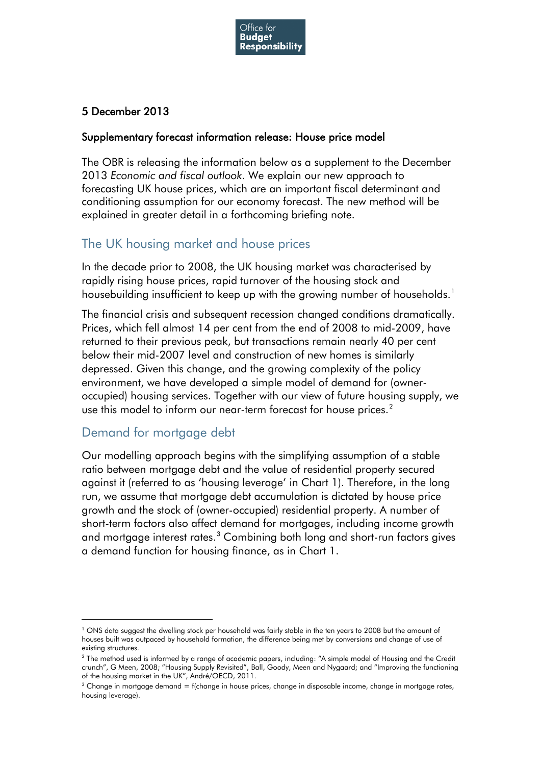

### 5 December 2013

#### Supplementary forecast information release: House price model

The OBR is releasing the information below as a supplement to the December 2013 *Economic and fiscal outlook*. We explain our new approach to forecasting UK house prices, which are an important fiscal determinant and conditioning assumption for our economy forecast. The new method will be explained in greater detail in a forthcoming briefing note.

# The UK housing market and house prices

In the decade prior to 2008, the UK housing market was characterised by rapidly rising house prices, rapid turnover of the housing stock and housebuilding insufficient to keep up with the growing number of households. [1](#page-0-0)

The financial crisis and subsequent recession changed conditions dramatically. Prices, which fell almost 14 per cent from the end of 2008 to mid-2009, have returned to their previous peak, but transactions remain nearly 40 per cent below their mid-2007 level and construction of new homes is similarly depressed. Given this change, and the growing complexity of the policy environment, we have developed a simple model of demand for (owneroccupied) housing services. Together with our view of future housing supply, we use this model to inform our near-term forecast for house prices.<sup>[2](#page-0-1)</sup>

### Demand for mortgage debt

<u>.</u>

Our modelling approach begins with the simplifying assumption of a stable ratio between mortgage debt and the value of residential property secured against it (referred to as 'housing leverage' in Chart 1). Therefore, in the long run, we assume that mortgage debt accumulation is dictated by house price growth and the stock of (owner-occupied) residential property. A number of short-term factors also affect demand for mortgages, including income growth and mortgage interest rates.<sup>[3](#page-0-2)</sup> Combining both long and short-run factors gives a demand function for housing finance, as in Chart 1.

<span id="page-0-0"></span><sup>&</sup>lt;sup>1</sup> ONS data suggest the dwelling stock per household was fairly stable in the ten years to 2008 but the amount of houses built was outpaced by household formation, the difference being met by conversions and change of use of existing structures.

<span id="page-0-1"></span><sup>&</sup>lt;sup>2</sup> The method used is informed by a range of academic papers, including: "A simple model of Housing and the Credit crunch", G Meen, 2008; "Housing Supply Revisited", Ball, Goody, Meen and Nygaard; and "Improving the functioning of the housing market in the UK", André/OECD, 2011.

<span id="page-0-3"></span><span id="page-0-2"></span> $3$  Change in mortagge demand = f(change in house prices, change in disposable income, change in mortagge rates, housing leverage).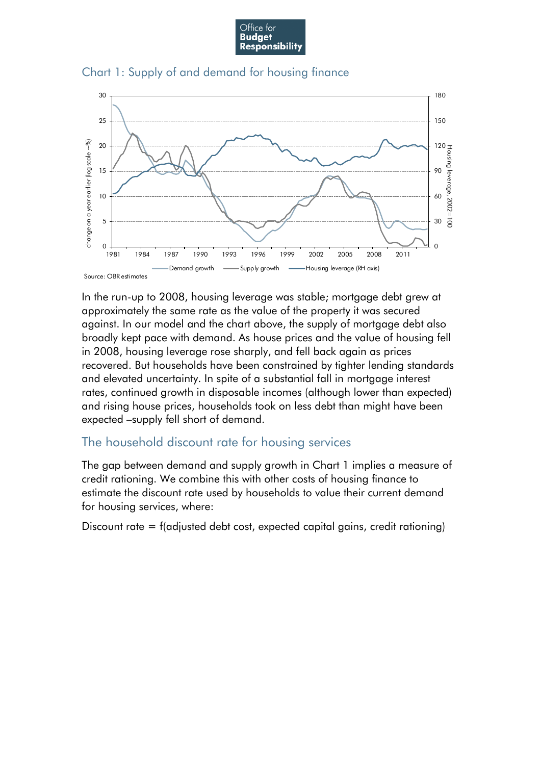





In the run-up to 2008, housing leverage was stable; mortgage debt grew at approximately the same rate as the value of the property it was secured against. In our model and the chart above, the supply of mortgage debt also broadly kept pace with demand. As house prices and the value of housing fell in 2008, housing leverage rose sharply, and fell back again as prices recovered. But households have been constrained by tighter lending standards and elevated uncertainty. In spite of a substantial fall in mortgage interest rates, continued growth in disposable incomes (although lower than expected) and rising house prices, households took on less debt than might have been expected –supply fell short of demand.

# The household discount rate for housing services

The gap between demand and supply growth in Chart 1 implies a measure of credit rationing. We combine this with other costs of housing finance to estimate the discount rate used by households to value their current demand for housing services, where:

Discount rate = f(adjusted debt cost, expected capital gains, credit rationing)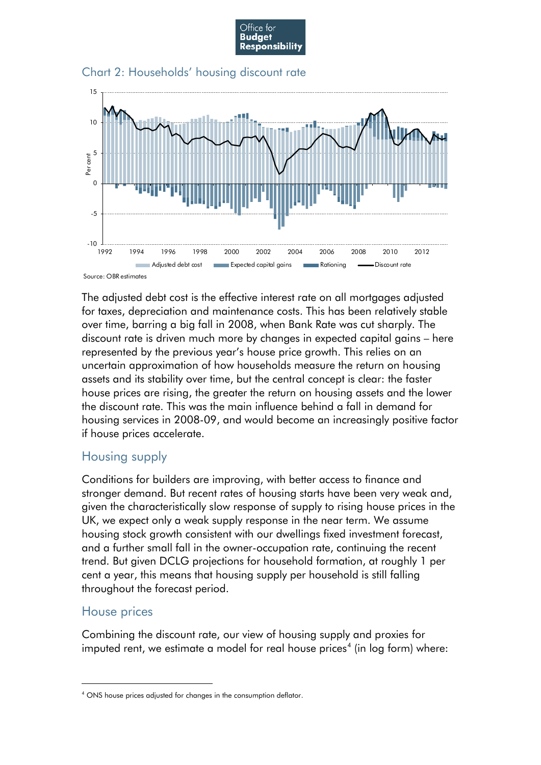





Source: OBR estimates

The adjusted debt cost is the effective interest rate on all mortgages adjusted for taxes, depreciation and maintenance costs. This has been relatively stable over time, barring a big fall in 2008, when Bank Rate was cut sharply. The discount rate is driven much more by changes in expected capital gains – here represented by the previous year's house price growth. This relies on an uncertain approximation of how households measure the return on housing assets and its stability over time, but the central concept is clear: the faster house prices are rising, the greater the return on housing assets and the lower the discount rate. This was the main influence behind a fall in demand for housing services in 2008-09, and would become an increasingly positive factor if house prices accelerate.

#### Housing supply

Conditions for builders are improving, with better access to finance and stronger demand. But recent rates of housing starts have been very weak and, given the characteristically slow response of supply to rising house prices in the UK, we expect only a weak supply response in the near term. We assume housing stock growth consistent with our dwellings fixed investment forecast, and a further small fall in the owner-occupation rate, continuing the recent trend. But given DCLG projections for household formation, at roughly 1 per cent a year, this means that housing supply per household is still falling throughout the forecast period.

### House prices

-

Combining the discount rate, our view of housing supply and proxies for imputed rent, we estimate a model for real house prices<sup>[4](#page-0-3)</sup> (in log form) where:

<span id="page-2-0"></span><sup>4</sup> ONS house prices adjusted for changes in the consumption deflator.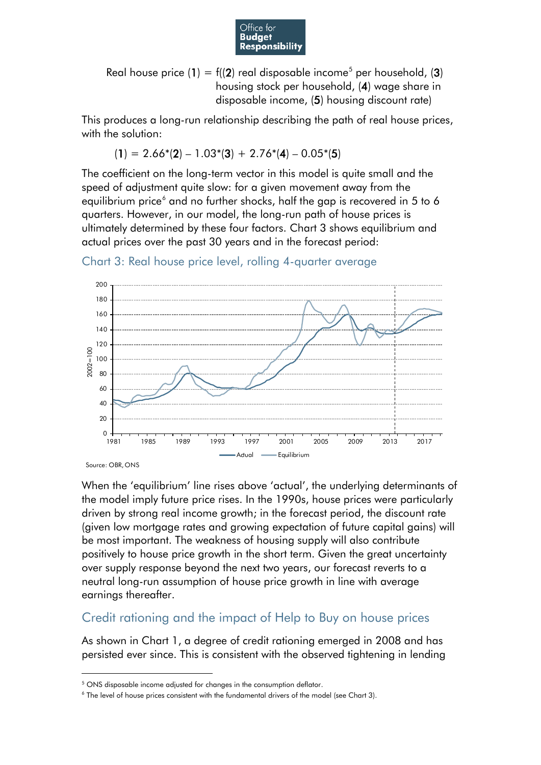

Real house price (1) =  $f(2)$  real disposable income<sup>[5](#page-2-0)</sup> per household, (3) housing stock per household, (4) wage share in disposable income, (5) housing discount rate)

This produces a long-run relationship describing the path of real house prices, with the solution:

 $(1) = 2.66*(2) - 1.03*(3) + 2.76*(4) - 0.05*(5)$ 

The coefficient on the long-term vector in this model is quite small and the speed of adjustment quite slow: for a given movement away from the equilibrium price<sup>[6](#page-3-0)</sup> and no further shocks, half the gap is recovered in 5 to 6 quarters. However, in our model, the long-run path of house prices is ultimately determined by these four factors. Chart 3 shows equilibrium and actual prices over the past 30 years and in the forecast period:

Chart 3: Real house price level, rolling 4-quarter average



Source: OBR, ONS

<span id="page-3-1"></span><u>.</u>

When the 'equilibrium' line rises above 'actual', the underlying determinants of the model imply future price rises. In the 1990s, house prices were particularly driven by strong real income growth; in the forecast period, the discount rate (given low mortgage rates and growing expectation of future capital gains) will be most important. The weakness of housing supply will also contribute positively to house price growth in the short term. Given the great uncertainty over supply response beyond the next two years, our forecast reverts to a neutral long-run assumption of house price growth in line with average earnings thereafter.

### Credit rationing and the impact of Help to Buy on house prices

As shown in Chart 1, a degree of credit rationing emerged in 2008 and has persisted ever since. This is consistent with the observed tightening in lending

<sup>&</sup>lt;sup>5</sup> ONS disposable income adjusted for changes in the consumption deflator.

<span id="page-3-0"></span> $6$  The level of house prices consistent with the fundamental drivers of the model (see Chart 3).